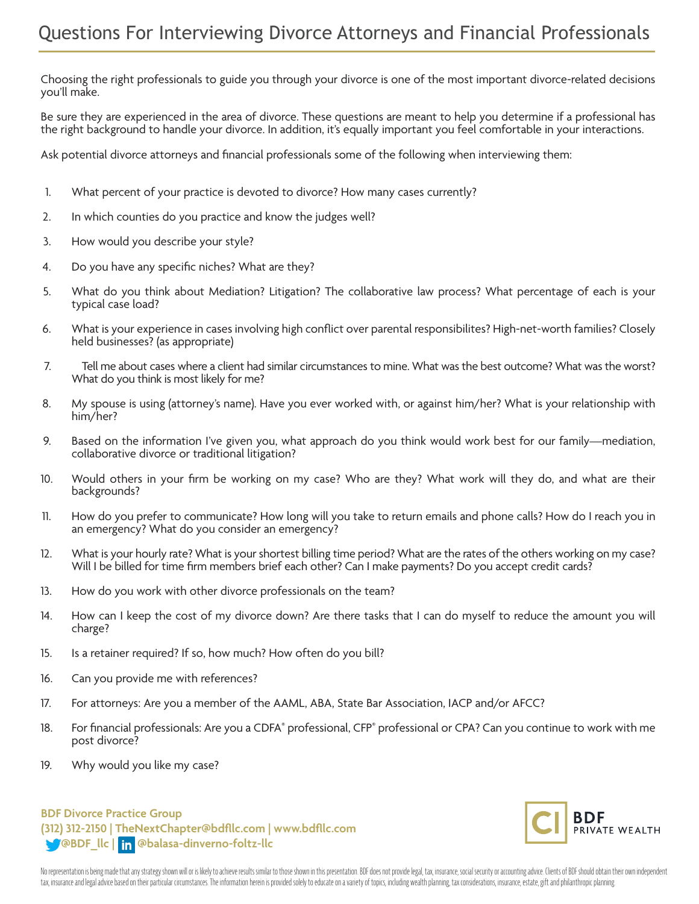Choosing the right professionals to guide you through your divorce is one of the most important divorce-related decisions you'll make.

Be sure they are experienced in the area of divorce. These questions are meant to help you determine if a professional has the right background to handle your divorce. In addition, it's equally important you feel comfortable in your interactions.

Ask potential divorce attorneys and financial professionals some of the following when interviewing them:

- 1. What percent of your practice is devoted to divorce? How many cases currently?
- 2. In which counties do you practice and know the judges well?
- 3. How would you describe your style?
- 4. Do you have any specific niches? What are they?
- 5. What do you think about Mediation? Litigation? The collaborative law process? What percentage of each is your typical case load?
- 6. What is your experience in cases involving high conflict over parental responsibilites? High-net-worth families? Closely held businesses? (as appropriate)
- 7. Tell me about cases where a client had similar circumstances to mine. What was the best outcome? What was the worst? What do you think is most likely for me?
- 8. My spouse is using (attorney's name). Have you ever worked with, or against him/her? What is your relationship with him/her?
- 9. Based on the information I've given you, what approach do you think would work best for our family—mediation, collaborative divorce or traditional litigation?
- 10. Would others in your firm be working on my case? Who are they? What work will they do, and what are their backgrounds?
- 11. How do you prefer to communicate? How long will you take to return emails and phone calls? How do I reach you in an emergency? What do you consider an emergency?
- 12. What is your hourly rate? What is your shortest billing time period? What are the rates of the others working on my case? Will I be billed for time firm members brief each other? Can I make payments? Do you accept credit cards?
- 13. How do you work with other divorce professionals on the team?
- 14. How can I keep the cost of my divorce down? Are there tasks that I can do myself to reduce the amount you will charge?
- 15. Is a retainer required? If so, how much? How often do you bill?
- 16. Can you provide me with references?
- 17. For attorneys: Are you a member of the AAML, ABA, State Bar Association, IACP and/or AFCC?
- 18. For financial professionals: Are you a CDFA® professional, CFP® professional or CPA? Can you continue to work with me post divorce?
- 19. Why would you like my case?

## **BDF Divorce Practice Group (312) 312-2150 | TheNextChapter@bdfllc.com | www.bdfllc.com @BDF\_llc | @balasa-dinverno-foltz-llc**



No representation is being made that any strategy shown will or is likely to achieve results similar to those shown in this presentation. BDF does not provide legal, tax, insurance, social security or accounting advice. Cl tax, insurance and legal advice based on their particular circumstances. The information herein is provided solely to educate on a variety of topics, including wealth planning, tax considerations, insurance, estate, gift a